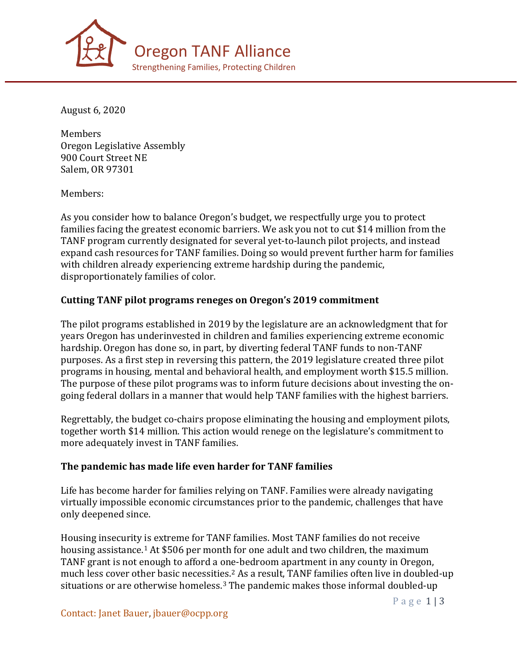

August 6, 2020

Members Oregon Legislative Assembly 900 Court Street NE Salem, OR 97301

Members:

As you consider how to balance Oregon's budget, we respectfully urge you to protect families facing the greatest economic barriers. We ask you not to cut \$14 million from the TANF program currently designated for several yet-to-launch pilot projects, and instead expand cash resources for TANF families. Doing so would prevent further harm for families with children already experiencing extreme hardship during the pandemic, disproportionately families of color.

## **Cutting TANF pilot programs reneges on Oregon's 2019 commitment**

The pilot programs established in 2019 by the legislature are an acknowledgment that for years Oregon has underinvested in children and families experiencing extreme economic hardship. Oregon has done so, in part, by diverting federal TANF funds to non-TANF purposes. As a first step in reversing this pattern, the 2019 legislature created three pilot programs in housing, mental and behavioral health, and employment worth \$15.5 million. The purpose of these pilot programs was to inform future decisions about investing the ongoing federal dollars in a manner that would help TANF families with the highest barriers.

Regrettably, the budget co-chairs propose eliminating the housing and employment pilots, together worth \$14 million. This action would renege on the legislature's commitment to more adequately invest in TANF families.

#### **The pandemic has made life even harder for TANF families**

Life has become harder for families relying on TANF. Families were already navigating virtually impossible economic circumstances prior to the pandemic, challenges that have only deepened since.

Housing insecurity is extreme for TANF families. Most TANF families do not receive housing assistance.<sup>[1](#page-1-0)</sup> At \$506 per month for one adult and two children, the maximum TANF grant is not enough to afford a one-bedroom apartment in any county in Oregon, much l[es](#page-2-1)s cover other basic necessities.<sup>2</sup> As a result, TANF families often live in doubled-up situations or are otherwise homeless.<sup>3</sup> The pandemic makes those informal doubled-up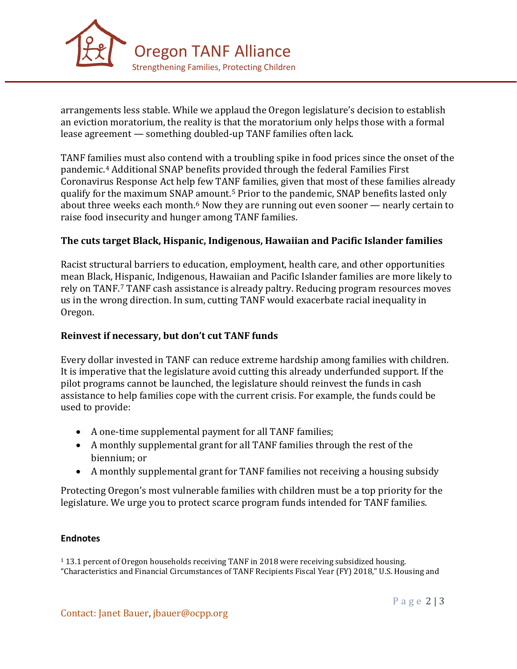

arrangements less stable. While we applaud the Oregon legislature's decision to establish an eviction moratorium, the reality is that the moratorium only helps those with a formal lease agreement — something doubled-up TANF families often lack.

TANF fam[ili](#page-2-2)es must also contend with a troubling spike in food prices since the onset of the pandemic. <sup>4</sup> Additional SNAP benefits provided through the federal Families First Coronavirus Response Act help few TA[NF](#page-2-3) families, given that most of these families already qualify for the maximum SNAP [a](#page-2-4)mount. <sup>5</sup> Prior to the pandemic, SNAP benefits lasted only about three weeks each month.<sup>6</sup> Now they are running out even sooner — nearly certain to raise food insecurity and hunger among TANF families.

## **The cuts target Black, Hispanic, Indigenous, Hawaiian and Pacific Islander families**

Racist structural barriers to education, employment, health care, and other opportunities mean Black, Hispanic, Indigenous, Hawaiian and Pacific Islander families are more likely to rely on TANF.[7](#page-2-5) TANF cash assistance is already paltry. Reducing program resources moves us in the wrong direction. In sum, cutting TANF would exacerbate racial inequality in Oregon.

# **Reinvest if necessary, but don't cut TANF funds**

Every dollar invested in TANF can reduce extreme hardship among families with children. It is imperative that the legislature avoid cutting this already underfunded support. If the pilot programs cannot be launched, the legislature should reinvest the funds in cash assistance to help families cope with the current crisis. For example, the funds could be used to provide:

- A one-time supplemental payment for all TANF families;
- A monthly supplemental grant for all TANF families through the rest of the biennium; or
- A monthly supplemental grant for TANF families not receiving a housing subsidy

Protecting Oregon's most vulnerable families with children must be a top priority for the legislature. We urge you to protect scarce program funds intended for TANF families.

## **Endnotes**

<span id="page-1-0"></span><sup>1</sup> 13.1 percent of Oregon households receiving TANF in 2018 were receiving subsidized housing. "Characteristics and Financial Circumstances of TANF Recipients Fiscal Year (FY) 2018," U.S. Housing and